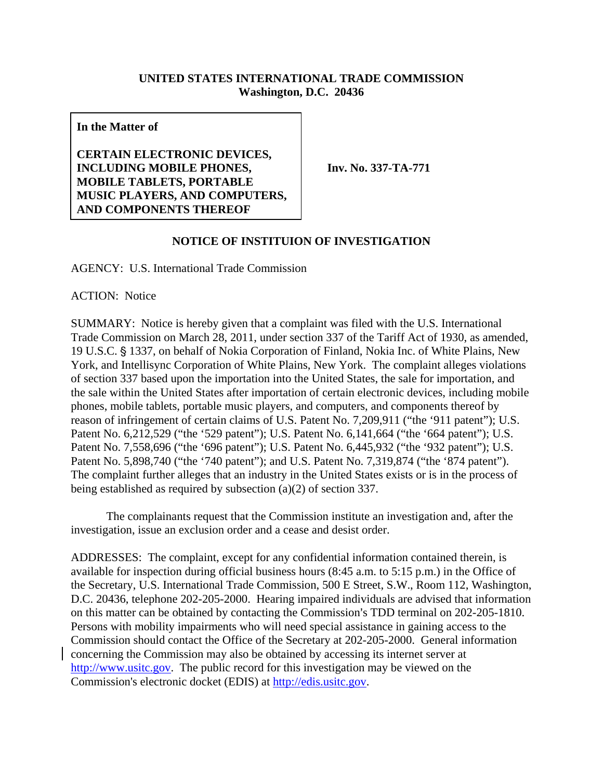## **UNITED STATES INTERNATIONAL TRADE COMMISSION Washington, D.C. 20436**

**In the Matter of** 

**CERTAIN ELECTRONIC DEVICES, INCLUDING MOBILE PHONES, MOBILE TABLETS, PORTABLE MUSIC PLAYERS, AND COMPUTERS, AND COMPONENTS THEREOF** 

**Inv. No. 337-TA-771** 

## **NOTICE OF INSTITUION OF INVESTIGATION**

AGENCY: U.S. International Trade Commission

ACTION: Notice

SUMMARY: Notice is hereby given that a complaint was filed with the U.S. International Trade Commission on March 28, 2011, under section 337 of the Tariff Act of 1930, as amended, 19 U.S.C. § 1337, on behalf of Nokia Corporation of Finland, Nokia Inc. of White Plains, New York, and Intellisync Corporation of White Plains, New York. The complaint alleges violations of section 337 based upon the importation into the United States, the sale for importation, and the sale within the United States after importation of certain electronic devices, including mobile phones, mobile tablets, portable music players, and computers, and components thereof by reason of infringement of certain claims of U.S. Patent No. 7,209,911 ("the '911 patent"); U.S. Patent No. 6,212,529 ("the '529 patent"); U.S. Patent No. 6,141,664 ("the '664 patent"); U.S. Patent No. 7,558,696 ("the '696 patent"); U.S. Patent No. 6,445,932 ("the '932 patent"); U.S. Patent No. 5,898,740 ("the '740 patent"); and U.S. Patent No. 7,319,874 ("the '874 patent"). The complaint further alleges that an industry in the United States exists or is in the process of being established as required by subsection (a)(2) of section 337.

The complainants request that the Commission institute an investigation and, after the investigation, issue an exclusion order and a cease and desist order.

ADDRESSES: The complaint, except for any confidential information contained therein, is available for inspection during official business hours (8:45 a.m. to 5:15 p.m.) in the Office of the Secretary, U.S. International Trade Commission, 500 E Street, S.W., Room 112, Washington, D.C. 20436, telephone 202-205-2000. Hearing impaired individuals are advised that information on this matter can be obtained by contacting the Commission's TDD terminal on 202-205-1810. Persons with mobility impairments who will need special assistance in gaining access to the Commission should contact the Office of the Secretary at 202-205-2000. General information concerning the Commission may also be obtained by accessing its internet server at http://www.usitc.gov. The public record for this investigation may be viewed on the Commission's electronic docket (EDIS) at http://edis.usitc.gov.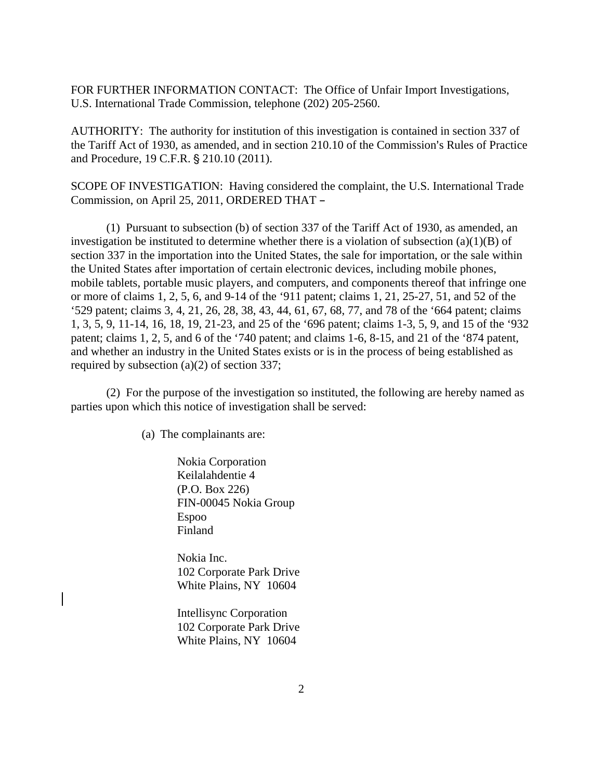FOR FURTHER INFORMATION CONTACT: The Office of Unfair Import Investigations, U.S. International Trade Commission, telephone (202) 205-2560.

AUTHORITY: The authority for institution of this investigation is contained in section 337 of the Tariff Act of 1930, as amended, and in section 210.10 of the Commission's Rules of Practice and Procedure, 19 C.F.R. § 210.10 (2011).

SCOPE OF INVESTIGATION: Having considered the complaint, the U.S. International Trade Commission, on April 25, 2011, ORDERED THAT -

(1) Pursuant to subsection (b) of section 337 of the Tariff Act of 1930, as amended, an investigation be instituted to determine whether there is a violation of subsection (a)(1)(B) of section 337 in the importation into the United States, the sale for importation, or the sale within the United States after importation of certain electronic devices, including mobile phones, mobile tablets, portable music players, and computers, and components thereof that infringe one or more of claims 1, 2, 5, 6, and 9-14 of the '911 patent; claims 1, 21, 25-27, 51, and 52 of the '529 patent; claims 3, 4, 21, 26, 28, 38, 43, 44, 61, 67, 68, 77, and 78 of the '664 patent; claims 1, 3, 5, 9, 11-14, 16, 18, 19, 21-23, and 25 of the '696 patent; claims 1-3, 5, 9, and 15 of the '932 patent; claims 1, 2, 5, and 6 of the '740 patent; and claims 1-6, 8-15, and 21 of the '874 patent, and whether an industry in the United States exists or is in the process of being established as required by subsection (a)(2) of section 337;

(2) For the purpose of the investigation so instituted, the following are hereby named as parties upon which this notice of investigation shall be served:

(a) The complainants are:

 Nokia Corporation Keilalahdentie 4 (P.O. Box 226) FIN-00045 Nokia Group Espoo Finland

 Nokia Inc. 102 Corporate Park Drive White Plains, NY 10604

 Intellisync Corporation 102 Corporate Park Drive White Plains, NY 10604